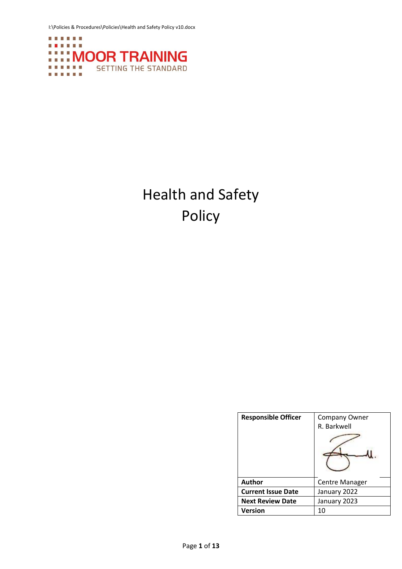I:\Policies & Procedures\Policies\Health and Safety Policy v10.docx



# Health and Safety Policy

| <b>Responsible Officer</b> | Company Owner<br>R. Barkwell |
|----------------------------|------------------------------|
| <b>Author</b>              | Centre Manager               |
| <b>Current Issue Date</b>  | January 2022                 |
| <b>Next Review Date</b>    | January 2023                 |
| Version                    |                              |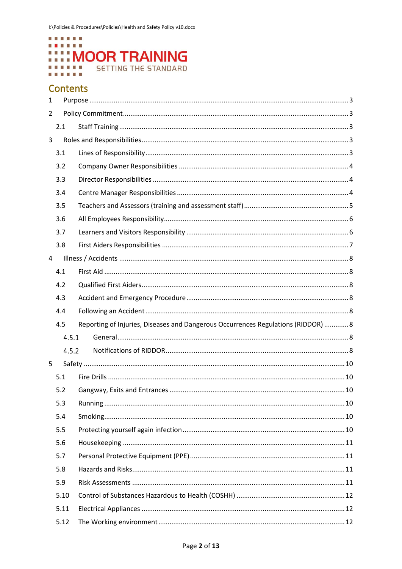

# **Contents**

| $\mathbf{1}$   |       |                                                                                   |  |  |
|----------------|-------|-----------------------------------------------------------------------------------|--|--|
| $\overline{2}$ |       |                                                                                   |  |  |
|                | 2.1   |                                                                                   |  |  |
| 3              |       |                                                                                   |  |  |
|                | 3.1   |                                                                                   |  |  |
|                | 3.2   |                                                                                   |  |  |
|                | 3.3   |                                                                                   |  |  |
|                | 3.4   |                                                                                   |  |  |
|                | 3.5   |                                                                                   |  |  |
|                | 3.6   |                                                                                   |  |  |
|                | 3.7   |                                                                                   |  |  |
|                | 3.8   |                                                                                   |  |  |
| 4              |       |                                                                                   |  |  |
|                | 4.1   |                                                                                   |  |  |
|                | 4.2   |                                                                                   |  |  |
|                | 4.3   |                                                                                   |  |  |
|                | 4.4   |                                                                                   |  |  |
|                | 4.5   | Reporting of Injuries, Diseases and Dangerous Occurrences Regulations (RIDDOR)  8 |  |  |
|                | 4.5.1 |                                                                                   |  |  |
|                | 4.5.2 |                                                                                   |  |  |
| 5              |       |                                                                                   |  |  |
|                | 5.1   |                                                                                   |  |  |
|                | 5.2   |                                                                                   |  |  |
|                | 5.3   |                                                                                   |  |  |
|                | 5.4   |                                                                                   |  |  |
|                | 5.5   |                                                                                   |  |  |
|                | 5.6   |                                                                                   |  |  |
|                |       |                                                                                   |  |  |
|                | 5.7   |                                                                                   |  |  |
|                | 5.8   |                                                                                   |  |  |
|                | 5.9   |                                                                                   |  |  |
|                | 5.10  |                                                                                   |  |  |
|                | 5.11  |                                                                                   |  |  |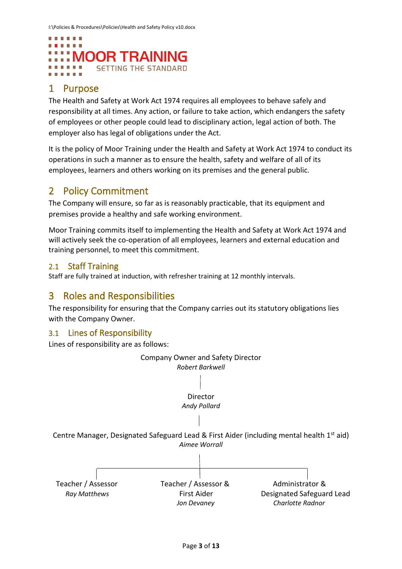

# <span id="page-2-0"></span>1 Purpose

The Health and Safety at Work Act 1974 requires all employees to behave safely and responsibility at all times. Any action, or failure to take action, which endangers the safety of employees or other people could lead to disciplinary action, legal action of both. The employer also has legal of obligations under the Act.

It is the policy of Moor Training under the Health and Safety at Work Act 1974 to conduct its operations in such a manner as to ensure the health, safety and welfare of all of its employees, learners and others working on its premises and the general public.

## <span id="page-2-1"></span>2 Policy Commitment

The Company will ensure, so far as is reasonably practicable, that its equipment and premises provide a healthy and safe working environment.

Moor Training commits itself to implementing the Health and Safety at Work Act 1974 and will actively seek the co-operation of all employees, learners and external education and training personnel, to meet this commitment.

### <span id="page-2-2"></span>2.1 Staff Training

<span id="page-2-3"></span>Staff are fully trained at induction, with refresher training at 12 monthly intervals.

### 3 Roles and Responsibilities

The responsibility for ensuring that the Company carries out its statutory obligations lies with the Company Owner.

### <span id="page-2-4"></span>3.1 Lines of Responsibility

Lines of responsibility are as follows:

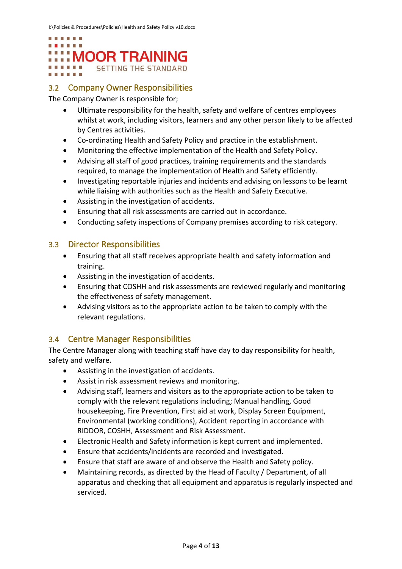

### <span id="page-3-0"></span>3.2 Company Owner Responsibilities

The Company Owner is responsible for;

- Ultimate responsibility for the health, safety and welfare of centres employees whilst at work, including visitors, learners and any other person likely to be affected by Centres activities.
- Co-ordinating Health and Safety Policy and practice in the establishment.
- Monitoring the effective implementation of the Health and Safety Policy.
- Advising all staff of good practices, training requirements and the standards required, to manage the implementation of Health and Safety efficiently.
- Investigating reportable injuries and incidents and advising on lessons to be learnt while liaising with authorities such as the Health and Safety Executive.
- Assisting in the investigation of accidents.
- Ensuring that all risk assessments are carried out in accordance.
- Conducting safety inspections of Company premises according to risk category.

### <span id="page-3-1"></span>3.3 Director Responsibilities

- Ensuring that all staff receives appropriate health and safety information and training.
- Assisting in the investigation of accidents.
- Ensuring that COSHH and risk assessments are reviewed regularly and monitoring the effectiveness of safety management.
- Advising visitors as to the appropriate action to be taken to comply with the relevant regulations.

### <span id="page-3-2"></span>3.4 Centre Manager Responsibilities

The Centre Manager along with teaching staff have day to day responsibility for health, safety and welfare.

- Assisting in the investigation of accidents.
- Assist in risk assessment reviews and monitoring.
- Advising staff, learners and visitors as to the appropriate action to be taken to comply with the relevant regulations including; Manual handling, Good housekeeping, Fire Prevention, First aid at work, Display Screen Equipment, Environmental (working conditions), Accident reporting in accordance with RIDDOR, COSHH, Assessment and Risk Assessment.
- Electronic Health and Safety information is kept current and implemented.
- Ensure that accidents/incidents are recorded and investigated.
- Ensure that staff are aware of and observe the Health and Safety policy.
- Maintaining records, as directed by the Head of Faculty / Department, of all apparatus and checking that all equipment and apparatus is regularly inspected and serviced.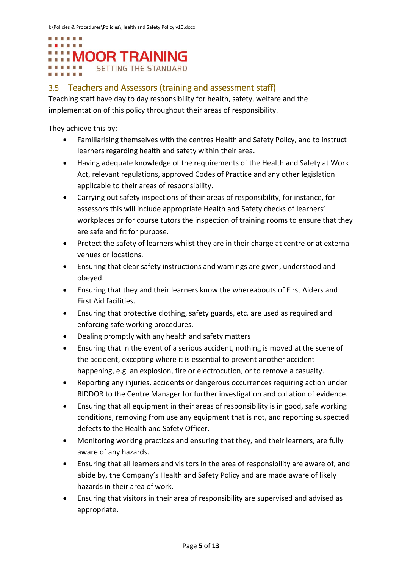

### <span id="page-4-0"></span>3.5 Teachers and Assessors (training and assessment staff)

Teaching staff have day to day responsibility for health, safety, welfare and the implementation of this policy throughout their areas of responsibility.

They achieve this by;

- Familiarising themselves with the centres Health and Safety Policy, and to instruct learners regarding health and safety within their area.
- Having adequate knowledge of the requirements of the Health and Safety at Work Act, relevant regulations, approved Codes of Practice and any other legislation applicable to their areas of responsibility.
- Carrying out safety inspections of their areas of responsibility, for instance, for assessors this will include appropriate Health and Safety checks of learners' workplaces or for course tutors the inspection of training rooms to ensure that they are safe and fit for purpose.
- Protect the safety of learners whilst they are in their charge at centre or at external venues or locations.
- Ensuring that clear safety instructions and warnings are given, understood and obeyed.
- Ensuring that they and their learners know the whereabouts of First Aiders and First Aid facilities.
- Ensuring that protective clothing, safety guards, etc. are used as required and enforcing safe working procedures.
- Dealing promptly with any health and safety matters
- Ensuring that in the event of a serious accident, nothing is moved at the scene of the accident, excepting where it is essential to prevent another accident happening, e.g. an explosion, fire or electrocution, or to remove a casualty.
- Reporting any injuries, accidents or dangerous occurrences requiring action under RIDDOR to the Centre Manager for further investigation and collation of evidence.
- Ensuring that all equipment in their areas of responsibility is in good, safe working conditions, removing from use any equipment that is not, and reporting suspected defects to the Health and Safety Officer.
- Monitoring working practices and ensuring that they, and their learners, are fully aware of any hazards.
- Ensuring that all learners and visitors in the area of responsibility are aware of, and abide by, the Company's Health and Safety Policy and are made aware of likely hazards in their area of work.
- Ensuring that visitors in their area of responsibility are supervised and advised as appropriate.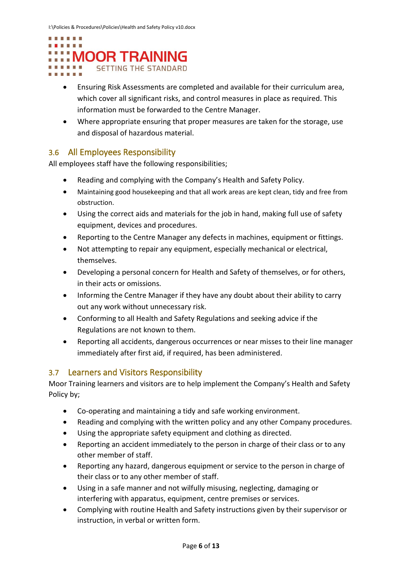

- Ensuring Risk Assessments are completed and available for their curriculum area, which cover all significant risks, and control measures in place as required. This information must be forwarded to the Centre Manager.
- Where appropriate ensuring that proper measures are taken for the storage, use and disposal of hazardous material.

### <span id="page-5-0"></span>3.6 All Employees Responsibility

All employees staff have the following responsibilities;

- Reading and complying with the Company's Health and Safety Policy.
- Maintaining good housekeeping and that all work areas are kept clean, tidy and free from obstruction.
- Using the correct aids and materials for the job in hand, making full use of safety equipment, devices and procedures.
- Reporting to the Centre Manager any defects in machines, equipment or fittings.
- Not attempting to repair any equipment, especially mechanical or electrical, themselves.
- Developing a personal concern for Health and Safety of themselves, or for others, in their acts or omissions.
- Informing the Centre Manager if they have any doubt about their ability to carry out any work without unnecessary risk.
- Conforming to all Health and Safety Regulations and seeking advice if the Regulations are not known to them.
- Reporting all accidents, dangerous occurrences or near misses to their line manager immediately after first aid, if required, has been administered.

### <span id="page-5-1"></span>3.7 Learners and Visitors Responsibility

Moor Training learners and visitors are to help implement the Company's Health and Safety Policy by;

- Co-operating and maintaining a tidy and safe working environment.
- Reading and complying with the written policy and any other Company procedures.
- Using the appropriate safety equipment and clothing as directed.
- Reporting an accident immediately to the person in charge of their class or to any other member of staff.
- Reporting any hazard, dangerous equipment or service to the person in charge of their class or to any other member of staff.
- Using in a safe manner and not wilfully misusing, neglecting, damaging or interfering with apparatus, equipment, centre premises or services.
- Complying with routine Health and Safety instructions given by their supervisor or instruction, in verbal or written form.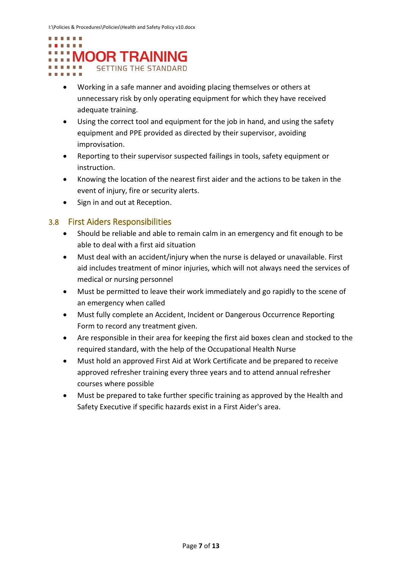#### **E** We do we do to . . . . . . :::: MOOR TRAINING . . . . . . **SETTING THE STANDARD** ■ 簡量 簡 簡

- Working in a safe manner and avoiding placing themselves or others at unnecessary risk by only operating equipment for which they have received adequate training.
- Using the correct tool and equipment for the job in hand, and using the safety equipment and PPE provided as directed by their supervisor, avoiding improvisation.
- Reporting to their supervisor suspected failings in tools, safety equipment or instruction.
- Knowing the location of the nearest first aider and the actions to be taken in the event of injury, fire or security alerts.
- Sign in and out at Reception.

### <span id="page-6-0"></span>3.8 First Aiders Responsibilities

- Should be reliable and able to remain calm in an emergency and fit enough to be able to deal with a first aid situation
- Must deal with an accident/injury when the nurse is delayed or unavailable. First aid includes treatment of minor injuries, which will not always need the services of medical or nursing personnel
- Must be permitted to leave their work immediately and go rapidly to the scene of an emergency when called
- Must fully complete an Accident, Incident or Dangerous Occurrence Reporting Form to record any treatment given.
- Are responsible in their area for keeping the first aid boxes clean and stocked to the required standard, with the help of the Occupational Health Nurse
- Must hold an approved First Aid at Work Certificate and be prepared to receive approved refresher training every three years and to attend annual refresher courses where possible
- Must be prepared to take further specific training as approved by the Health and Safety Executive if specific hazards exist in a First Aider's area.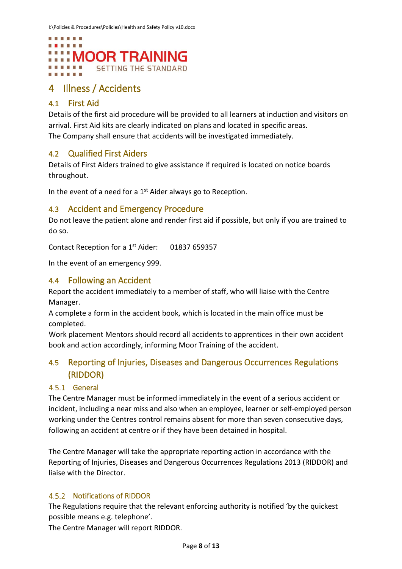

## <span id="page-7-0"></span>4 Illness / Accidents

### <span id="page-7-1"></span>4.1 First Aid

Details of the first aid procedure will be provided to all learners at induction and visitors on arrival. First Aid kits are clearly indicated on plans and located in specific areas. The Company shall ensure that accidents will be investigated immediately.

### <span id="page-7-2"></span>4.2 Qualified First Aiders

Details of First Aiders trained to give assistance if required is located on notice boards throughout.

In the event of a need for a 1<sup>st</sup> Aider always go to Reception.

### <span id="page-7-3"></span>4.3 Accident and Emergency Procedure

Do not leave the patient alone and render first aid if possible, but only if you are trained to do so.

Contact Reception for a 1<sup>st</sup> Aider: 01837 659357

In the event of an emergency 999.

### <span id="page-7-4"></span>4.4 Following an Accident

Report the accident immediately to a member of staff, who will liaise with the Centre Manager.

A complete a form in the accident book, which is located in the main office must be completed.

Work placement Mentors should record all accidents to apprentices in their own accident book and action accordingly, informing Moor Training of the accident.

### <span id="page-7-5"></span>4.5 Reporting of Injuries, Diseases and Dangerous Occurrences Regulations (RIDDOR)

### <span id="page-7-6"></span>4.5.1 General

The Centre Manager must be informed immediately in the event of a serious accident or incident, including a near miss and also when an employee, learner or self-employed person working under the Centres control remains absent for more than seven consecutive days, following an accident at centre or if they have been detained in hospital.

The Centre Manager will take the appropriate reporting action in accordance with the Reporting of Injuries, Diseases and Dangerous Occurrences Regulations 2013 (RIDDOR) and liaise with the Director.

### <span id="page-7-7"></span>4.5.2 Notifications of RIDDOR

The Regulations require that the relevant enforcing authority is notified 'by the quickest possible means e.g. telephone'.

The Centre Manager will report RIDDOR.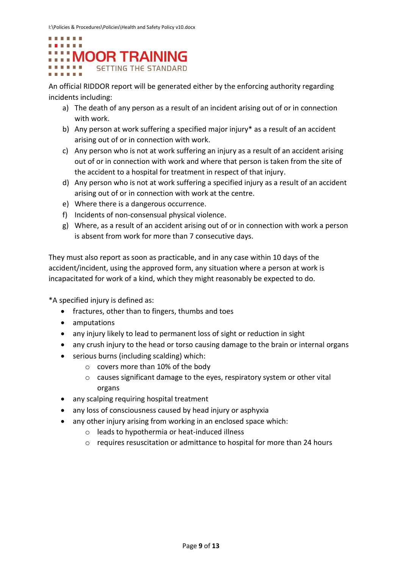

An official RIDDOR report will be generated either by the enforcing authority regarding incidents including:

- a) The death of any person as a result of an incident arising out of or in connection with work.
- b) Any person at work suffering a specified major injury\* as a result of an accident arising out of or in connection with work.
- c) Any person who is not at work suffering an injury as a result of an accident arising out of or in connection with work and where that person is taken from the site of the accident to a hospital for treatment in respect of that injury.
- d) Any person who is not at work suffering a specified injury as a result of an accident arising out of or in connection with work at the centre.
- e) Where there is a dangerous occurrence.
- f) Incidents of non-consensual physical violence.
- g) Where, as a result of an accident arising out of or in connection with work a person is absent from work for more than 7 consecutive days.

They must also report as soon as practicable, and in any case within 10 days of the accident/incident, using the approved form, any situation where a person at work is incapacitated for work of a kind, which they might reasonably be expected to do.

\*A specified injury is defined as:

- fractures, other than to fingers, thumbs and toes
- amputations
- any injury likely to lead to permanent loss of sight or reduction in sight
- any crush injury to the head or torso causing damage to the brain or internal organs
- serious burns (including scalding) which:
	- o covers more than 10% of the body
	- o causes significant damage to the eyes, respiratory system or other vital organs
- any scalping requiring hospital treatment
- any loss of consciousness caused by head injury or asphyxia
- any other injury arising from working in an enclosed space which:
	- o leads to hypothermia or heat-induced illness
	- o requires resuscitation or admittance to hospital for more than 24 hours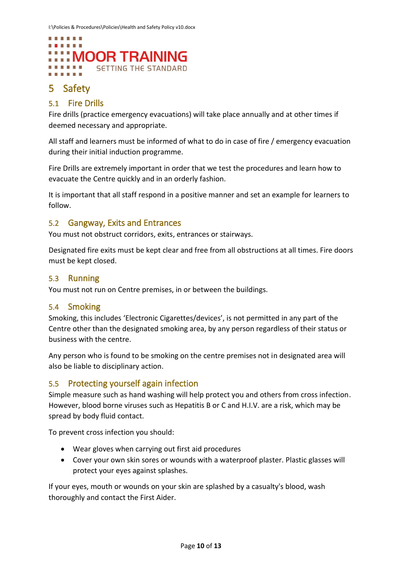

# <span id="page-9-0"></span>5 Safety

### <span id="page-9-1"></span>5.1 Fire Drills

Fire drills (practice emergency evacuations) will take place annually and at other times if deemed necessary and appropriate.

All staff and learners must be informed of what to do in case of fire / emergency evacuation during their initial induction programme.

Fire Drills are extremely important in order that we test the procedures and learn how to evacuate the Centre quickly and in an orderly fashion.

It is important that all staff respond in a positive manner and set an example for learners to follow.

### <span id="page-9-2"></span>5.2 Gangway, Exits and Entrances

You must not obstruct corridors, exits, entrances or stairways.

Designated fire exits must be kept clear and free from all obstructions at all times. Fire doors must be kept closed.

### <span id="page-9-3"></span>5.3 Running

You must not run on Centre premises, in or between the buildings.

### <span id="page-9-4"></span>5.4 Smoking

Smoking, this includes 'Electronic Cigarettes/devices', is not permitted in any part of the Centre other than the designated smoking area, by any person regardless of their status or business with the centre.

Any person who is found to be smoking on the centre premises not in designated area will also be liable to disciplinary action.

### <span id="page-9-5"></span>5.5 Protecting yourself again infection

Simple measure such as hand washing will help protect you and others from cross infection. However, blood borne viruses such as Hepatitis B or C and H.I.V. are a risk, which may be spread by body fluid contact.

To prevent cross infection you should:

- Wear gloves when carrying out first aid procedures
- Cover your own skin sores or wounds with a waterproof plaster. Plastic glasses will protect your eyes against splashes.

If your eyes, mouth or wounds on your skin are splashed by a casualty's blood, wash thoroughly and contact the First Aider.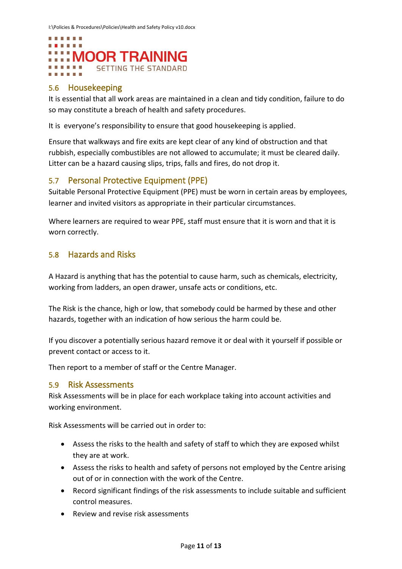

### <span id="page-10-0"></span>5.6 Housekeeping

It is essential that all work areas are maintained in a clean and tidy condition, failure to do so may constitute a breach of health and safety procedures.

It is everyone's responsibility to ensure that good housekeeping is applied.

Ensure that walkways and fire exits are kept clear of any kind of obstruction and that rubbish, especially combustibles are not allowed to accumulate; it must be cleared daily. Litter can be a hazard causing slips, trips, falls and fires, do not drop it.

### <span id="page-10-1"></span>5.7 Personal Protective Equipment (PPE)

Suitable Personal Protective Equipment (PPE) must be worn in certain areas by employees, learner and invited visitors as appropriate in their particular circumstances.

Where learners are required to wear PPE, staff must ensure that it is worn and that it is worn correctly.

### <span id="page-10-2"></span>5.8 Hazards and Risks

A Hazard is anything that has the potential to cause harm, such as chemicals, electricity, working from ladders, an open drawer, unsafe acts or conditions, etc.

The Risk is the chance, high or low, that somebody could be harmed by these and other hazards, together with an indication of how serious the harm could be.

If you discover a potentially serious hazard remove it or deal with it yourself if possible or prevent contact or access to it.

Then report to a member of staff or the Centre Manager.

### <span id="page-10-3"></span>5.9 Risk Assessments

Risk Assessments will be in place for each workplace taking into account activities and working environment.

Risk Assessments will be carried out in order to:

- Assess the risks to the health and safety of staff to which they are exposed whilst they are at work.
- Assess the risks to health and safety of persons not employed by the Centre arising out of or in connection with the work of the Centre.
- Record significant findings of the risk assessments to include suitable and sufficient control measures.
- Review and revise risk assessments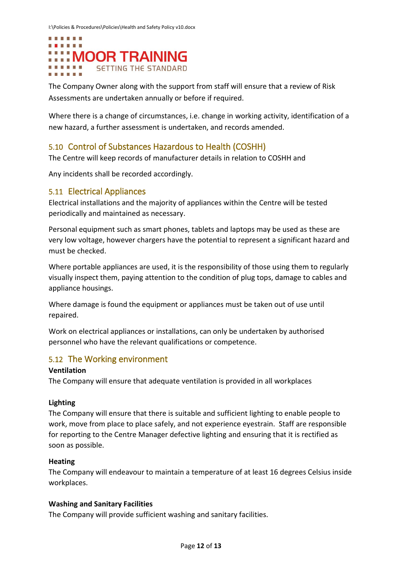

The Company Owner along with the support from staff will ensure that a review of Risk Assessments are undertaken annually or before if required.

Where there is a change of circumstances, i.e. change in working activity, identification of a new hazard, a further assessment is undertaken, and records amended.

### <span id="page-11-0"></span>5.10 Control of Substances Hazardous to Health (COSHH)

The Centre will keep records of manufacturer details in relation to COSHH and

Any incidents shall be recorded accordingly.

### <span id="page-11-1"></span>5.11 Electrical Appliances

Electrical installations and the majority of appliances within the Centre will be tested periodically and maintained as necessary.

Personal equipment such as smart phones, tablets and laptops may be used as these are very low voltage, however chargers have the potential to represent a significant hazard and must be checked.

Where portable appliances are used, it is the responsibility of those using them to regularly visually inspect them, paying attention to the condition of plug tops, damage to cables and appliance housings.

Where damage is found the equipment or appliances must be taken out of use until repaired.

Work on electrical appliances or installations, can only be undertaken by authorised personnel who have the relevant qualifications or competence.

### <span id="page-11-2"></span>5.12 The Working environment

#### **Ventilation**

The Company will ensure that adequate ventilation is provided in all workplaces

### **Lighting**

The Company will ensure that there is suitable and sufficient lighting to enable people to work, move from place to place safely, and not experience eyestrain. Staff are responsible for reporting to the Centre Manager defective lighting and ensuring that it is rectified as soon as possible.

### **Heating**

The Company will endeavour to maintain a temperature of at least 16 degrees Celsius inside workplaces.

### **Washing and Sanitary Facilities**

The Company will provide sufficient washing and sanitary facilities.